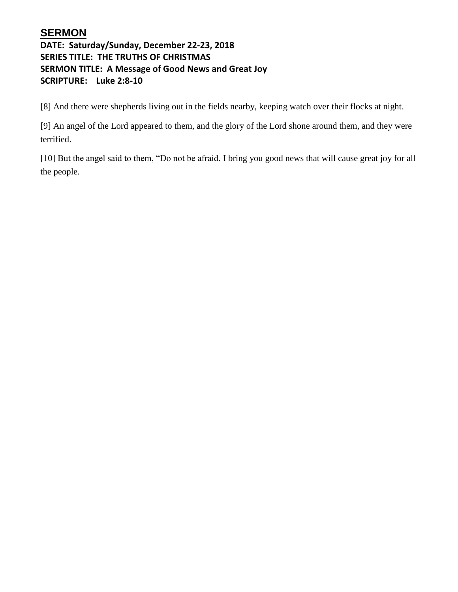## **SERMON**

### **DATE: Saturday/Sunday, December 22-23, 2018 SERIES TITLE: THE TRUTHS OF CHRISTMAS SERMON TITLE: A Message of Good News and Great Joy SCRIPTURE: Luke 2:8-10**

[8] And there were shepherds living out in the fields nearby, keeping watch over their flocks at night.

[9] An angel of the Lord appeared to them, and the glory of the Lord shone around them, and they were terrified.

[10] But the angel said to them, "Do not be afraid. I bring you good news that will cause great joy for all the people.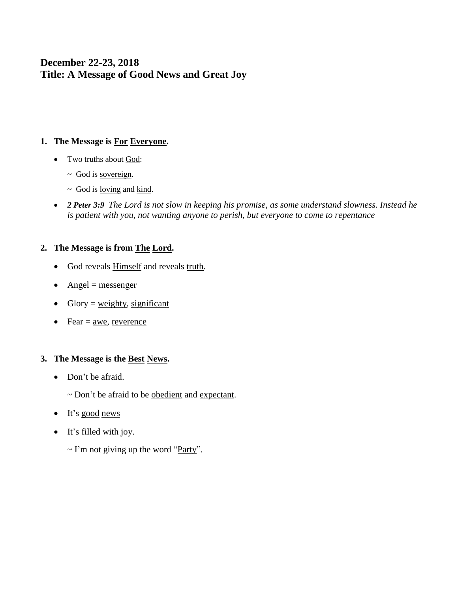## **December 22-23, 2018 Title: A Message of Good News and Great Joy**

#### **1. The Message is For Everyone.**

- Two truths about God:
	- ~ God is sovereign.
	- $\sim$  God is <u>loving</u> and <u>kind</u>.
- *2 Peter 3:9 The Lord is not slow in keeping his promise, as some understand slowness. Instead he is patient with you, not wanting anyone to perish, but everyone to come to repentance*

#### **2. The Message is from The Lord.**

- God reveals **Himself** and reveals truth.
- Angel =  $<sub>message</sub>$ </sub>
- Glory =  $weighty$ , significant
- Fear  $=$  awe, reverence

#### **3. The Message is the Best News.**

- Don't be afraid.
	- ~ Don't be afraid to be obedient and expectant.
- It's good news
- It's filled with joy.
	- $\sim$  I'm not giving up the word "Party".